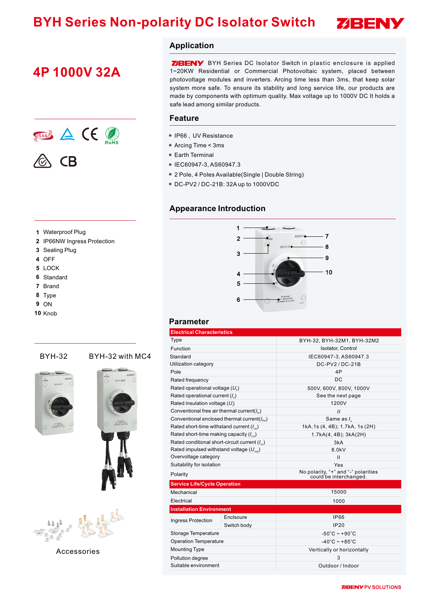# **BYH Series Non-polarity DC Isolator Switch**



## **4P 1000V 32A**



#### **1** Waterproof Plug

- **2** IP66NW Ingress Protection
- **3** Sealing Plug
- **4** OFF
- **5** LOCK
- **6** Standard
- **7** Brand
- **8** Type
- **9** ON
- **10** Knob

#### BYH-32 BYH-32 with MC4







Accessories

#### **Application**

**ZBENY** BYH Series DC Isolator Switch in plastic enclosure is applied 1~20KW Residential or Commercial Photovoltaic system, placed between photovoltage modules and inverters. Arcing time less than 3ms, that keep solar system more safe. To ensure its stability and long service life, our products are made by components with optimum quality. Max voltage up to 1000V DC It holds a safe lead among similar products.

#### **Feature**

- IP66 , UV Resistance
- Arcing Time < 3ms
- Earth Terminal
- IEC60947-3, AS60947.3
- 2 Pole, 4 Poles Available(Single | Double String)
- DC-PV2 / DC-21B: 32A up to 1000VDC

#### **Appearance Introduction**



#### **Parameter**

| <b>Electrical Characteristics</b>                         |             |                                                               |  |  |  |
|-----------------------------------------------------------|-------------|---------------------------------------------------------------|--|--|--|
| Type                                                      |             | BYH-32, BYH-32M1, BYH-32M2                                    |  |  |  |
| Function                                                  |             | Isolator, Control                                             |  |  |  |
| Standard                                                  |             | IEC60947-3, AS60947.3                                         |  |  |  |
| Utilization category                                      |             | DC-PV2/DC-21B                                                 |  |  |  |
| Pole                                                      |             | 4P                                                            |  |  |  |
| Rated frequency                                           |             | DC                                                            |  |  |  |
| Rated operational voltage $(U_a)$                         |             | 500V, 600V, 800V, 1000V                                       |  |  |  |
| Rated operational current $(I_{\alpha})$                  |             | See the next page                                             |  |  |  |
| Rated insulation voltage $(U_i)$                          |             | 1200V                                                         |  |  |  |
| Conventional free air thermal current( $I_{n}$ )          |             | $\mathcal{U}$                                                 |  |  |  |
| Conventional enclosed thermal current( $I_{\text{the}}$ ) |             | Same as $I_{s}$                                               |  |  |  |
| Rated short-time withstand current $(l_{\infty})$         |             | 1kA, 1s (4, 4B); 1.7kA, 1s (2H)                               |  |  |  |
| Rated short-time making capacity $(l_{cm})$               |             | 1.7kA(4, 4B); 3kA(2H)                                         |  |  |  |
| Rated conditional short-circuit current $(I_{\infty})$    |             | 3kA                                                           |  |  |  |
| Rated impulsed withstand voltage $(U_{\text{rms}})$       |             | 8.0kV                                                         |  |  |  |
| Overvoltage category                                      |             | П                                                             |  |  |  |
| Suitability for isolation                                 |             | Yes                                                           |  |  |  |
| Polarity                                                  |             | No polarity, "+" and "-" polarities<br>could be interchanged. |  |  |  |
| <b>Service Life/Cycle Operation</b>                       |             |                                                               |  |  |  |
| Mechanical                                                |             | 15000                                                         |  |  |  |
| Electrical                                                |             | 1000                                                          |  |  |  |
| <b>Installation Environment</b>                           |             |                                                               |  |  |  |
| <b>Ingress Protection</b>                                 | Enclsoure   | <b>IP66</b>                                                   |  |  |  |
|                                                           | Switch body | <b>IP20</b>                                                   |  |  |  |
| Storage Temperature                                       |             | $-50^{\circ}$ C ~ +90 $^{\circ}$ C                            |  |  |  |
| <b>Operation Temperature</b>                              |             | $-40^{\circ}$ C ~ +85 $^{\circ}$ C                            |  |  |  |
| <b>Mounting Type</b>                                      |             | Vertically or horizontally                                    |  |  |  |
| Pollution degree                                          |             | 3                                                             |  |  |  |
| Suitable environment                                      |             | Outdoor / Indoor                                              |  |  |  |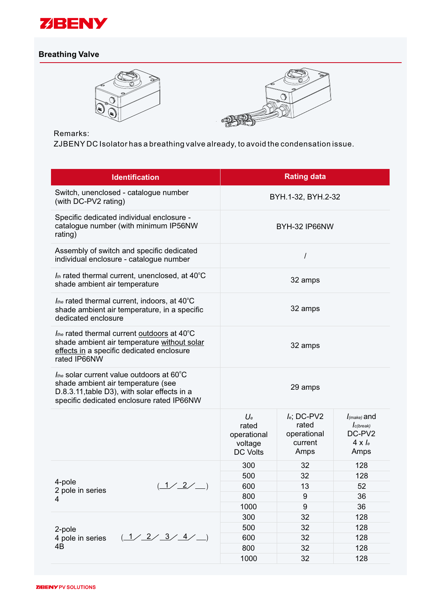

### **Breathing Valve**





Remarks:

ZJBENY DC Isolator has a breathing valve already, to avoid the condensation issue.

| <b>Identification</b>                                                                                                                                                        | <b>Rating data</b>                                          |                                                           |                                                                        |  |
|------------------------------------------------------------------------------------------------------------------------------------------------------------------------------|-------------------------------------------------------------|-----------------------------------------------------------|------------------------------------------------------------------------|--|
| Switch, unenclosed - catalogue number<br>(with DC-PV2 rating)                                                                                                                | BYH.1-32, BYH.2-32                                          |                                                           |                                                                        |  |
| Specific dedicated individual enclosure -<br>catalogue number (with minimum IP56NW<br>rating)                                                                                | BYH-32 IP66NW                                               |                                                           |                                                                        |  |
| Assembly of switch and specific dedicated<br>individual enclosure - catalogue number                                                                                         | Ι                                                           |                                                           |                                                                        |  |
| $I_{th}$ rated thermal current, unenclosed, at 40°C<br>shade ambient air temperature                                                                                         | 32 amps                                                     |                                                           |                                                                        |  |
| $I_{the}$ rated thermal current, indoors, at 40 $^{\circ}$ C<br>shade ambient air temperature, in a specific<br>dedicated enclosure                                          | 32 amps                                                     |                                                           |                                                                        |  |
| $I_{the}$ rated thermal current outdoors at 40 $^{\circ}$ C<br>shade ambient air temperature without solar<br>effects in a specific dedicated enclosure<br>rated IP66NW      | 32 amps                                                     |                                                           |                                                                        |  |
| Ithe solar current value outdoors at 60°C<br>shade ambient air temperature (see<br>D.8.3.11, table D3), with solar effects in a<br>specific dedicated enclosure rated IP66NW | 29 amps                                                     |                                                           |                                                                        |  |
|                                                                                                                                                                              | $U_e$<br>rated<br>operational<br>voltage<br><b>DC Volts</b> | $I_e$ ; DC-PV2<br>rated<br>operational<br>current<br>Amps | $I_{(make)}$ and<br>$I_{c(break)}$<br>DC-PV2<br>$4 \times l_e$<br>Amps |  |
|                                                                                                                                                                              | 300                                                         | 32                                                        | 128                                                                    |  |
|                                                                                                                                                                              | 500                                                         | 32                                                        | 128                                                                    |  |
| 4-pole<br>1/2/<br>2 pole in series                                                                                                                                           | 600                                                         | 13                                                        | 52                                                                     |  |
| 4                                                                                                                                                                            | 800                                                         | 9                                                         | 36                                                                     |  |
|                                                                                                                                                                              | 1000                                                        | 9                                                         | 36                                                                     |  |
|                                                                                                                                                                              | 300                                                         | 32                                                        | 128                                                                    |  |
| 2-pole                                                                                                                                                                       | 500                                                         | 32                                                        | 128                                                                    |  |
| (1/2/3/4)<br>4 pole in series                                                                                                                                                | 600                                                         | 32                                                        | 128                                                                    |  |
| 4B                                                                                                                                                                           | 800                                                         | 32                                                        | 128                                                                    |  |
|                                                                                                                                                                              | 1000                                                        | 32                                                        | 128                                                                    |  |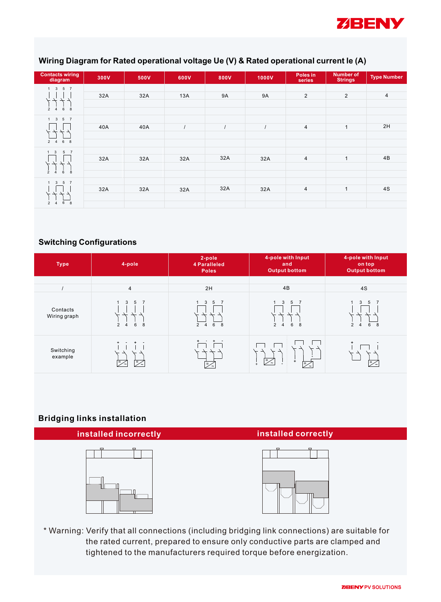

#### **Wiring Diagram for Rated operational voltage Ue (V) & Rated operational current le (A)**

| Contacts wiring<br>diagram                                                                     | 300V | 500V | 600V | 800V           | 1000V     | Poles in<br>series | <b>Number of</b><br><b>Strings</b> | <b>Type Number</b> |
|------------------------------------------------------------------------------------------------|------|------|------|----------------|-----------|--------------------|------------------------------------|--------------------|
| $1 \quad 3 \quad 5 \quad 7$<br>ギギュ<br>$6\phantom{.0}$<br>8<br>$\overline{2}$<br>$\overline{4}$ | 32A  | 32A  | 13A  | 9A             | <b>9A</b> | $\overline{2}$     | $\overline{2}$                     | $\overline{4}$     |
| $1 \quad 3 \quad 5 \quad 7$<br>6 8<br>$2 \quad 4$                                              | 40A  | 40A  |      | $\overline{I}$ | $\prime$  | $\overline{4}$     | $\mathbf{1}$                       | 2H                 |
| $\overline{\mathbf{3}}$<br>5 <sub>7</sub><br>$\dot{8}$<br>6<br>$\overline{\phantom{0}}$        | 32A  | 32A  | 32A  | 32A            | 32A       | $\overline{4}$     | $\mathbf{1}$                       | 4B                 |
| $3\quad 5\quad 7$<br>$\mathbf{1}$<br>8<br>$6\phantom{.0}$<br>$\overline{2}$<br>$\overline{4}$  | 32A  | 32A  | 32A  | 32A            | 32A       | $\overline{4}$     | $\mathbf{1}$                       | 4S                 |

#### **Switching Configurations**

| <b>Type</b>              | 4-pole                                                                  | 2-pole<br>4 Paralleled<br><b>Poles</b>         | 4-pole with Input<br>and<br><b>Output bottom</b>                                     | 4-pole with Input<br>on top<br><b>Output bottom</b>    |
|--------------------------|-------------------------------------------------------------------------|------------------------------------------------|--------------------------------------------------------------------------------------|--------------------------------------------------------|
|                          | $\overline{4}$                                                          | 2H                                             | 4B                                                                                   | 4S                                                     |
| Contacts<br>Wiring graph | 3<br>$5\overline{5}$<br>$\overline{7}$<br>2<br>6<br>8<br>$\overline{4}$ | 3<br>5 <sub>7</sub><br>1<br>6 8<br>$2 \quad 4$ | 3<br>5<br>$\overline{7}$<br>$6\phantom{1}6$<br>$\overline{2}$<br>$\overline{4}$<br>8 | 5<br>3<br>$\overline{7}$<br>$\overline{4}$<br>6 8<br>2 |
| Switching<br>example     | $+$<br>$\overline{z}$<br>$=$                                            | ∣=∠                                            | =∕<br>$+$<br>$=$ .                                                                   | $+$<br>l=⁄<                                            |

#### **Bridging links installation**



\* Warning: Verify that all connections (including bridging link connections) are suitable for the rated current, prepared to ensure only conductive parts are clamped and tightened to the manufacturers required torque before energization.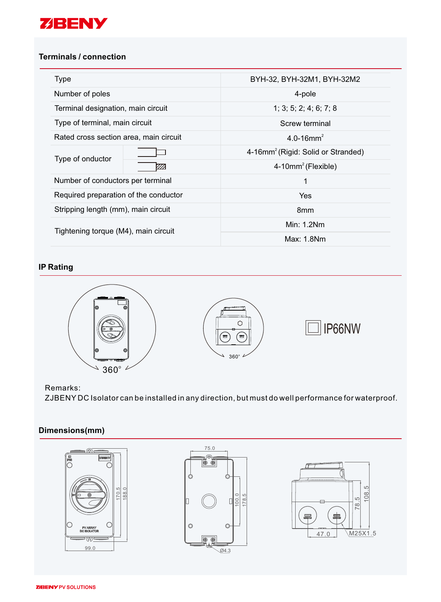

#### **Terminals / connection**

| Type                                   |      | BYH-32, BYH-32M1, BYH-32M2                     |  |  |
|----------------------------------------|------|------------------------------------------------|--|--|
| Number of poles                        |      | 4-pole                                         |  |  |
| Terminal designation, main circuit     |      | 1; 3; 5; 2; 4; 6; 7; 8                         |  |  |
| Type of terminal, main circuit         |      | Screw terminal                                 |  |  |
| Rated cross section area, main circuit |      | 4.0-16 $mm2$                                   |  |  |
| Type of onductor                       |      | 4-16mm <sup>2</sup> (Rigid: Solid or Stranded) |  |  |
|                                        | 77). | $4-10mm^2$ (Flexible)                          |  |  |
| Number of conductors per terminal      |      | 1                                              |  |  |
| Required preparation of the conductor  |      | <b>Yes</b>                                     |  |  |
| Stripping length (mm), main circuit    |      | 8 <sub>mm</sub>                                |  |  |
| Tightening torque (M4), main circuit   |      | Min: $1.2$ Nm                                  |  |  |
|                                        |      | Max: 1.8Nm                                     |  |  |

#### **IP Rating**



#### Remarks:

ZJBENY DC Isolator can be installed in any direction, but must do well performance for waterproof.

### **Dimensions(mm)**